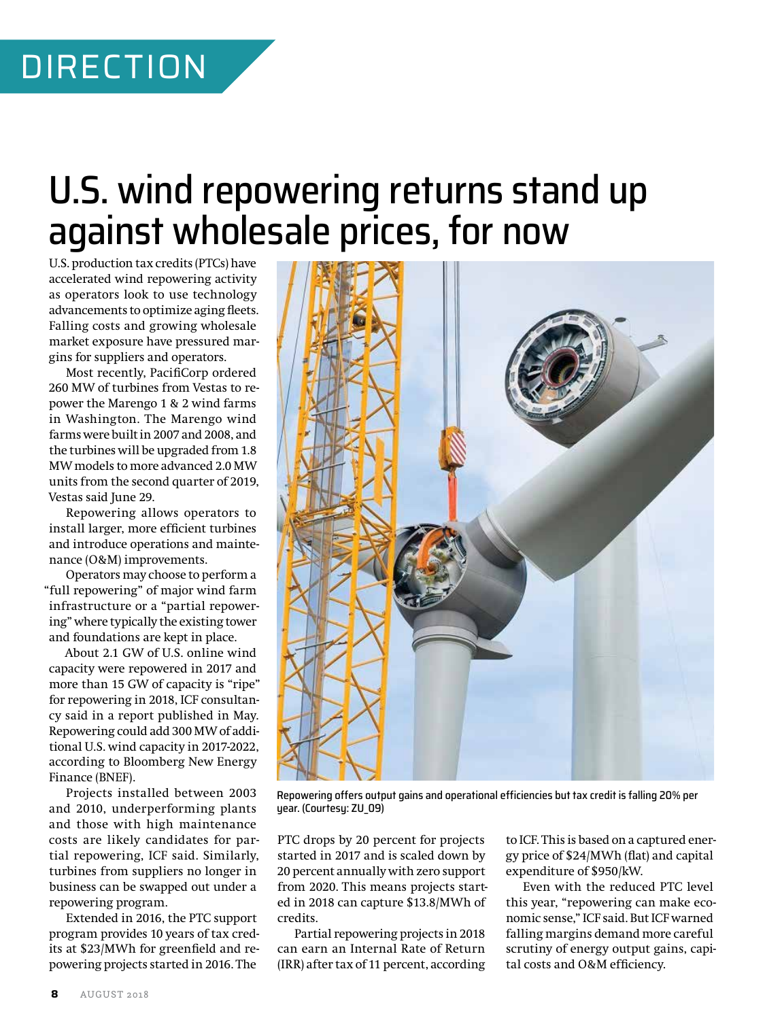# U.S. wind repowering returns stand up against wholesale prices, for now

U.S. production tax credits (PTCs) have accelerated wind repowering activity as operators look to use technology advancements to optimize aging fleets. Falling costs and growing wholesale market exposure have pressured margins for suppliers and operators.

Most recently, PacifiCorp ordered 260 MW of turbines from Vestas to repower the Marengo 1 & 2 wind farms in Washington. The Marengo wind farms were built in 2007 and 2008, and the turbines will be upgraded from 1.8 MW models to more advanced 2.0 MW units from the second quarter of 2019, Vestas said June 29.

Repowering allows operators to install larger, more efficient turbines and introduce operations and maintenance (O&M) improvements.

Operators may choose to perform a "full repowering" of major wind farm infrastructure or a "partial repowering" where typically the existing tower and foundations are kept in place.

About 2.1 GW of U.S. online wind capacity were repowered in 2017 and more than 15 GW of capacity is "ripe" for repowering in 2018, ICF consultancy said in a report published in May. Repowering could add 300 MW of additional U.S. wind capacity in 2017-2022, according to Bloomberg New Energy Finance (BNEF).

Projects installed between 2003 and 2010, underperforming plants and those with high maintenance costs are likely candidates for partial repowering, ICF said. Similarly, turbines from suppliers no longer in business can be swapped out under a repowering program.

Extended in 2016, the PTC support program provides 10 years of tax credits at \$23/MWh for greenfield and repowering projects started in 2016. The



Repowering offers output gains and operational efficiencies but tax credit is falling 20% per year. (Courtesy: ZU\_09)

PTC drops by 20 percent for projects started in 2017 and is scaled down by 20 percent annually with zero support from 2020. This means projects started in 2018 can capture \$13.8/MWh of credits.

Partial repowering projects in 2018 can earn an Internal Rate of Return (IRR) after tax of 11 percent, according

to ICF. This is based on a captured energy price of \$24/MWh (flat) and capital expenditure of \$950/kW.

Even with the reduced PTC level this year, "repowering can make economic sense," ICF said. But ICF warned falling margins demand more careful scrutiny of energy output gains, capital costs and O&M efficiency.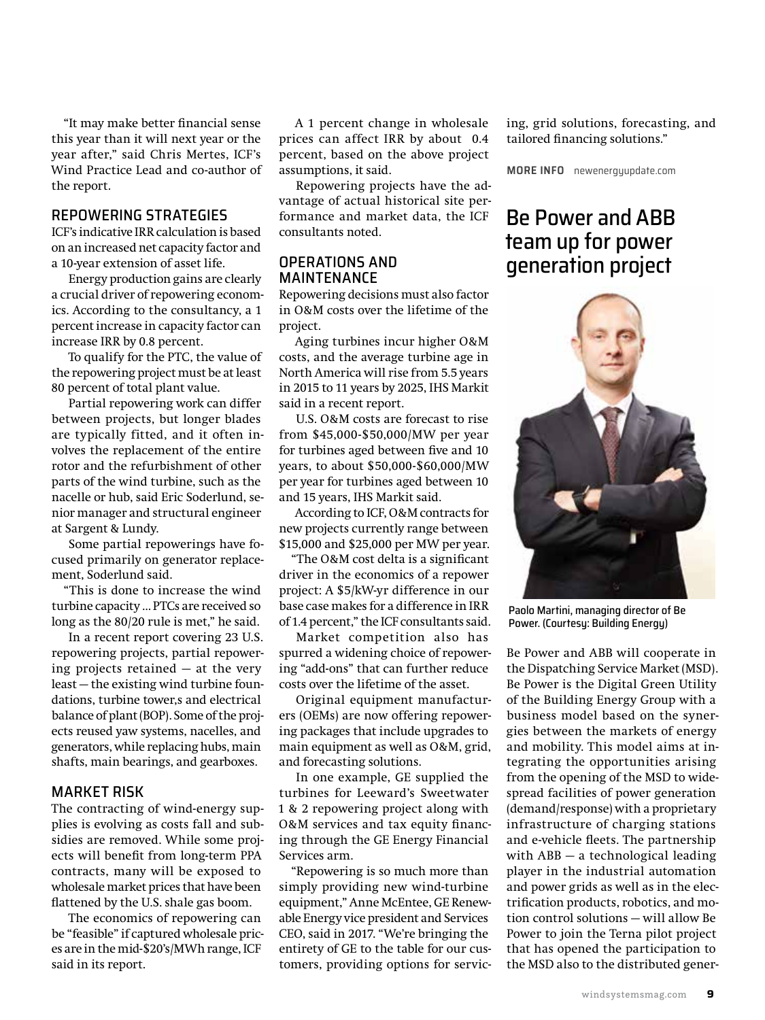"It may make better financial sense this year than it will next year or the year after," said Chris Mertes, ICF's Wind Practice Lead and co-author of the report.

#### REPOWERING STRATEGIES

ICF's indicative IRR calculation is based on an increased net capacity factor and a 10-year extension of asset life.

Energy production gains are clearly a crucial driver of repowering economics. According to the consultancy, a 1 percent increase in capacity factor can increase IRR by 0.8 percent.

To qualify for the PTC, the value of the repowering project must be at least 80 percent of total plant value.

Partial repowering work can differ between projects, but longer blades are typically fitted, and it often involves the replacement of the entire rotor and the refurbishment of other parts of the wind turbine, such as the nacelle or hub, said Eric Soderlund, senior manager and structural engineer at Sargent & Lundy.

Some partial repowerings have focused primarily on generator replacement, Soderlund said.

"This is done to increase the wind turbine capacity … PTCs are received so long as the 80/20 rule is met," he said.

In a recent report covering 23 U.S. repowering projects, partial repowering projects retained — at the very least — the existing wind turbine foundations, turbine tower,s and electrical balance of plant (BOP). Some of the projects reused yaw systems, nacelles, and generators, while replacing hubs, main shafts, main bearings, and gearboxes.

#### MARKET RISK

The contracting of wind-energy supplies is evolving as costs fall and subsidies are removed. While some projects will benefit from long-term PPA contracts, many will be exposed to wholesale market prices that have been flattened by the U.S. shale gas boom.

The economics of repowering can be "feasible" if captured wholesale prices are in the mid-\$20's/MWh range, ICF said in its report.

A 1 percent change in wholesale prices can affect IRR by about 0.4 percent, based on the above project assumptions, it said.

Repowering projects have the advantage of actual historical site performance and market data, the ICF consultants noted.

#### OPERATIONS AND MAINTENANCE

Repowering decisions must also factor in O&M costs over the lifetime of the project.

Aging turbines incur higher O&M costs, and the average turbine age in North America will rise from 5.5 years in 2015 to 11 years by 2025, IHS Markit said in a recent report.

U.S. O&M costs are forecast to rise from \$45,000-\$50,000/MW per year for turbines aged between five and 10 years, to about \$50,000-\$60,000/MW per year for turbines aged between 10 and 15 years, IHS Markit said.

According to ICF, O&M contracts for new projects currently range between \$15,000 and \$25,000 per MW per year.

"The O&M cost delta is a significant driver in the economics of a repower project: A \$5/kW-yr difference in our base case makes for a difference in IRR of 1.4 percent," the ICF consultants said.

Market competition also has spurred a widening choice of repowering "add-ons" that can further reduce costs over the lifetime of the asset.

Original equipment manufacturers (OEMs) are now offering repowering packages that include upgrades to main equipment as well as O&M, grid, and forecasting solutions.

In one example, GE supplied the turbines for Leeward's Sweetwater 1 & 2 repowering project along with O&M services and tax equity financing through the GE Energy Financial Services arm.

"Repowering is so much more than simply providing new wind-turbine equipment," Anne McEntee, GE Renewable Energy vice president and Services CEO, said in 2017. "We're bringing the entirety of GE to the table for our customers, providing options for servicing, grid solutions, forecasting, and tailored financing solutions."

**MORE INFO** newenergyupdate.com

### Be Power and ABB team up for power generation project



Paolo Martini, managing director of Be Power. (Courtesy: Building Energy)

Be Power and ABB will cooperate in the Dispatching Service Market (MSD). Be Power is the Digital Green Utility of the Building Energy Group with a business model based on the synergies between the markets of energy and mobility. This model aims at integrating the opportunities arising from the opening of the MSD to widespread facilities of power generation (demand/response) with a proprietary infrastructure of charging stations and e-vehicle fleets. The partnership with ABB — a technological leading player in the industrial automation and power grids as well as in the electrification products, robotics, and motion control solutions — will allow Be Power to join the Terna pilot project that has opened the participation to the MSD also to the distributed gener